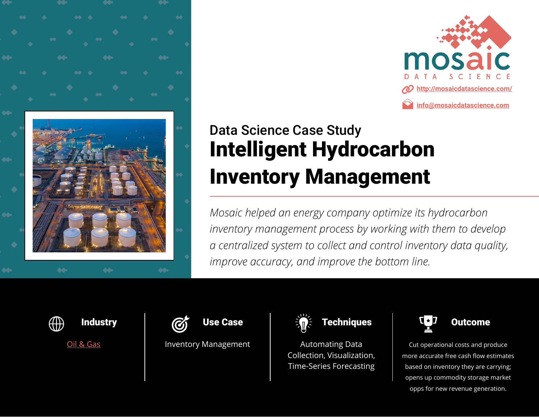



# Data Science Case Study Intelligent Hydrocarbon Inventory Management

*Mosaic helped an energy company optimize its hydrocarbon inventory management process by working with them to develop a centralized system to collect and control inventory data quality, improve accuracy, and improve the bottom line.*





[Oil & Gas](https://mosaicdatascience.com/oil-and-gas-machine-learning-ai-solutions-2/) **Inventory Management** Automating Data



#### Industry  $\widetilde{G}$  Use Case  $\widetilde{G}$  Techniques  $\widetilde{G}$  Use Case  $\widetilde{G}$

Collection, Visualization, Time-Series Forecasting



Cut operational costs and produce more accurate free cash flow estimates based on inventory they are carrying; opens up commodity storage market opps for new revenue generation.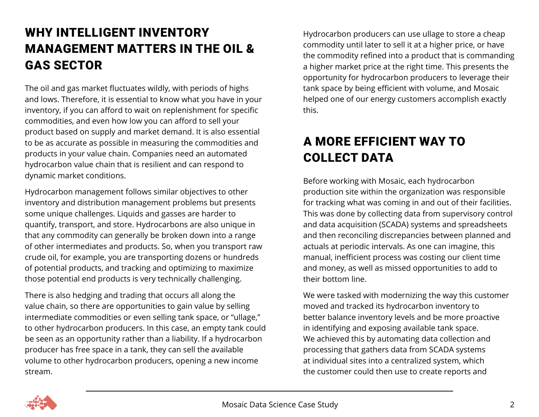### WHY INTELLIGENT INVENTORY MANAGEMENT MATTERS IN THE OIL & GAS SECTOR

The oil and gas market fluctuates wildly, with periods of highs and lows. Therefore, it is essential to know what you have in your inventory, if you can afford to wait on replenishment for specific commodities, and even how low you can afford to sell your product based on supply and market demand. It is also essential to be as accurate as possible in measuring the commodities and products in your value chain. Companies need an automated hydrocarbon value chain that is resilient and can respond to dynamic market conditions.

Hydrocarbon management follows similar objectives to other inventory and distribution management problems but presents some unique challenges. Liquids and gasses are harder to quantify, transport, and store. Hydrocarbons are also unique in that any commodity can generally be broken down into a range of other intermediates and products. So, when you transport raw crude oil, for example, you are transporting dozens or hundreds of potential products, and tracking and optimizing to maximize those potential end products is very technically challenging.

There is also hedging and trading that occurs all along the value chain, so there are opportunities to gain value by selling intermediate commodities or even selling tank space, or "ullage," to other hydrocarbon producers. In this case, an empty tank could be seen as an opportunity rather than a liability. If a hydrocarbon producer has free space in a tank, they can sell the available volume to other hydrocarbon producers, opening a new income stream.

Hydrocarbon producers can use ullage to store a cheap commodity until later to sell it at a higher price, or have the commodity refined into a product that is commanding a higher market price at the right time. This presents the opportunity for hydrocarbon producers to leverage their tank space by being efficient with volume, and Mosaic helped one of our energy customers accomplish exactly this.

### A MORE EFFICIENT WAY TO COLLECT DATA

Before working with Mosaic, each hydrocarbon production site within the organization was responsible for tracking what was coming in and out of their facilities. This was done by collecting data from supervisory control and data acquisition (SCADA) systems and spreadsheets and then reconciling discrepancies between planned and actuals at periodic intervals. As one can imagine, this manual, inefficient process was costing our client time and money, as well as missed opportunities to add to their bottom line.

We were tasked with modernizing the way this customer moved and tracked its hydrocarbon inventory to better balance inventory levels and be more proactive in identifying and exposing available tank space. We achieved this by automating data collection and processing that gathers data from SCADA systems at individual sites into a centralized system, which the customer could then use to create reports and

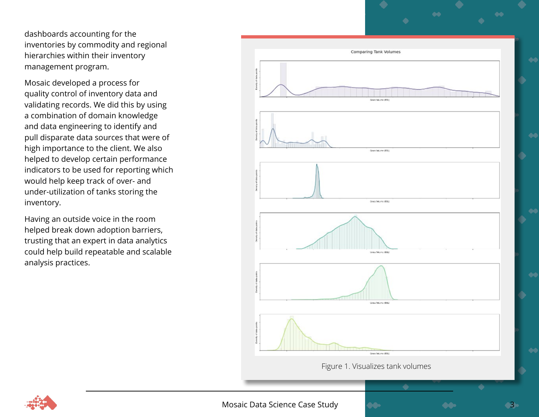dashboards accounting for the inventories by commodity and regional hierarchies within their inventory management program.

Mosaic developed a process for quality control of inventory data and validating records. We did this by using a combination of domain knowledge and data engineering to identify and pull disparate data sources that were of high importance to the client. We also helped to develop certain performance indicators to be used for reporting which would help keep track of over- and under-utilization of tanks storing the inventory.

Having an outside voice in the room helped break down adoption barriers, trusting that an expert in data analytics could help build repeatable and scalable analysis practices.





Mosaic Data Science Case Study 3